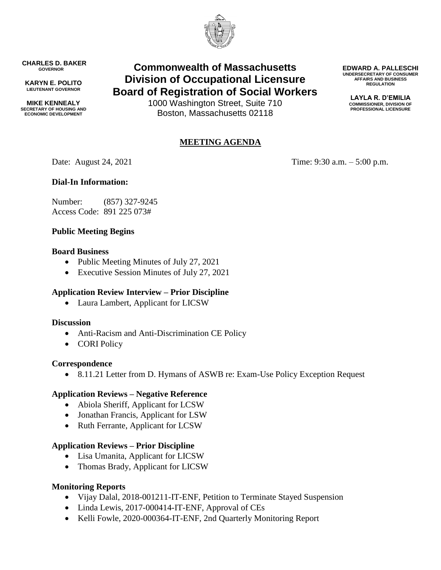

**CHARLES D. BAKER GOVERNOR**

**KARYN E. POLITO LIEUTENANT GOVERNOR**

**MIKE KENNEALY SECRETARY OF HOUSING AND ECONOMIC DEVELOPMENT**

# **Commonwealth of Massachusetts Division of Occupational Licensure Board of Registration of Social Workers**

1000 Washington Street, Suite 710 Boston, Massachusetts 02118

## **MEETING AGENDA**

Date: August 24, 2021 Time: 9:30 a.m. – 5:00 p.m.

**EDWARD A. PALLESCHI UNDERSECRETARY OF CONSUMER AFFAIRS AND BUSINESS REGULATION LAYLA R. D'EMILIA COMMISSIONER, DIVISION OF PROFESSIONAL LICENSURE**

## **Dial-In Information:**

Number: (857) 327-9245 Access Code: 891 225 073#

## **Public Meeting Begins**

#### **Board Business**

- Public Meeting Minutes of July 27, 2021
- Executive Session Minutes of July 27, 2021

### **Application Review Interview – Prior Discipline**

Laura Lambert, Applicant for LICSW

#### **Discussion**

- Anti-Racism and Anti-Discrimination CE Policy
- CORI Policy

#### **Correspondence**

8.11.21 Letter from D. Hymans of ASWB re: Exam-Use Policy Exception Request

#### **Application Reviews – Negative Reference**

- Abiola Sheriff, Applicant for LCSW
- Jonathan Francis, Applicant for LSW
- Ruth Ferrante, Applicant for LCSW

#### **Application Reviews – Prior Discipline**

- Lisa Umanita, Applicant for LICSW
- Thomas Brady, Applicant for LICSW

#### **Monitoring Reports**

- Vijay Dalal, 2018-001211-IT-ENF, Petition to Terminate Stayed Suspension
- Linda Lewis, 2017-000414-IT-ENF, Approval of CEs
- Kelli Fowle, 2020-000364-IT-ENF, 2nd Quarterly Monitoring Report